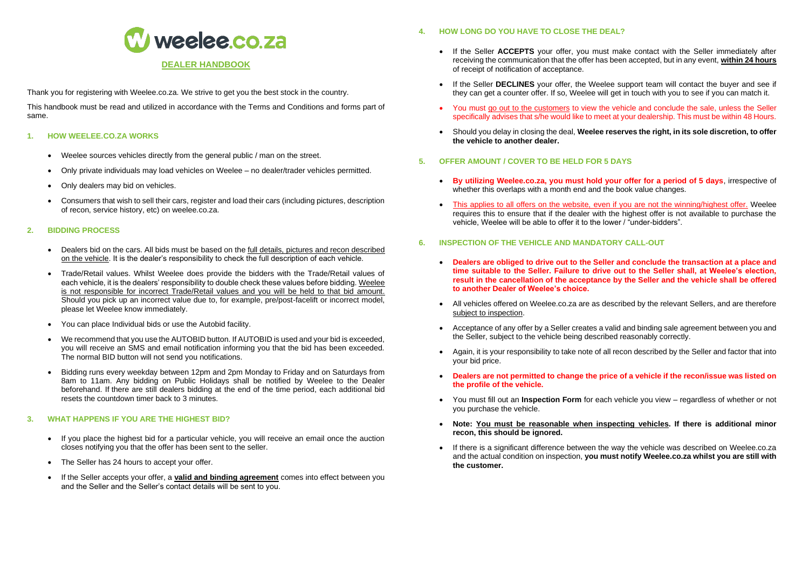

Thank you for registering with Weelee.co.za. We strive to get you the best stock in the country.

This handbook must be read and utilized in accordance with the Terms and Conditions and forms part of same.

# **1. HOW WEELEE.CO.ZA WORKS**

- Weelee sources vehicles directly from the general public / man on the street.
- Only private individuals may load vehicles on Weelee no dealer/trader vehicles permitted.
- Only dealers may bid on vehicles.
- Consumers that wish to sell their cars, register and load their cars (including pictures, description of recon, service history, etc) on weelee.co.za.

## **2. BIDDING PROCESS**

- Dealers bid on the cars. All bids must be based on the full details, pictures and recon described on the vehicle. It is the dealer's responsibility to check the full description of each vehicle.
- Trade/Retail values. Whilst Weelee does provide the bidders with the Trade/Retail values of each vehicle, it is the dealers' responsibility to double check these values before bidding. Weelee is not responsible for incorrect Trade/Retail values and you will be held to that bid amount. Should you pick up an incorrect value due to, for example, pre/post-facelift or incorrect model, please let Weelee know immediately.
- You can place Individual bids or use the Autobid facility.
- We recommend that you use the AUTOBID button. If AUTOBID is used and your bid is exceeded, you will receive an SMS and email notification informing you that the bid has been exceeded. The normal BID button will not send you notifications.
- Bidding runs every weekday between 12pm and 2pm Monday to Friday and on Saturdays from 8am to 11am. Any bidding on Public Holidays shall be notified by Weelee to the Dealer beforehand. If there are still dealers bidding at the end of the time period, each additional bid resets the countdown timer back to 3 minutes.

## **3. WHAT HAPPENS IF YOU ARE THE HIGHEST BID?**

- If you place the highest bid for a particular vehicle, you will receive an email once the auction closes notifying you that the offer has been sent to the seller.
- The Seller has 24 hours to accept your offer.
- If the Seller accepts your offer, a **valid and binding agreement** comes into effect between you and the Seller and the Seller's contact details will be sent to you.
- **4. HOW LONG DO YOU HAVE TO CLOSE THE DEAL?**
	- If the Seller **ACCEPTS** your offer, you must make contact with the Seller immediately after receiving the communication that the offer has been accepted, but in any event, **within 24 hours** of receipt of notification of acceptance.
	- If the Seller **DECLINES** your offer, the Weelee support team will contact the buyer and see if they can get a counter offer. If so, Weelee will get in touch with you to see if you can match it.
	- You must go out to the customers to view the vehicle and conclude the sale, unless the Seller specifically advises that s/he would like to meet at your dealership. This must be within 48 Hours.
	- Should you delay in closing the deal, **Weelee reserves the right, in its sole discretion, to offer the vehicle to another dealer.**
- **5. OFFER AMOUNT / COVER TO BE HELD FOR 5 DAYS**
	- **By utilizing Weelee.co.za, you must hold your offer for a period of 5 days**, irrespective of whether this overlaps with a month end and the book value changes.
	- This applies to all offers on the website, even if you are not the winning/highest offer. Weelee requires this to ensure that if the dealer with the highest offer is not available to purchase the vehicle, Weelee will be able to offer it to the lower / "under-bidders".
- **6. INSPECTION OF THE VEHICLE AND MANDATORY CALL-OUT**
	- **Dealers are obliged to drive out to the Seller and conclude the transaction at a place and time suitable to the Seller. Failure to drive out to the Seller shall, at Weelee's election, result in the cancellation of the acceptance by the Seller and the vehicle shall be offered to another Dealer of Weelee's choice.**
	- All vehicles offered on Weelee.co.za are as described by the relevant Sellers, and are therefore subject to inspection.
	- Acceptance of any offer by a Seller creates a valid and binding sale agreement between you and the Seller, subject to the vehicle being described reasonably correctly.
	- Again, it is your responsibility to take note of all recon described by the Seller and factor that into your bid price.
	- **Dealers are not permitted to change the price of a vehicle if the recon/issue was listed on the profile of the vehicle.**
	- You must fill out an **Inspection Form** for each vehicle you view regardless of whether or not you purchase the vehicle.
	- **Note: You must be reasonable when inspecting vehicles. If there is additional minor recon, this should be ignored.**
	- If there is a significant difference between the way the vehicle was described on Weelee.co.za and the actual condition on inspection, **you must notify Weelee.co.za whilst you are still with the customer.**